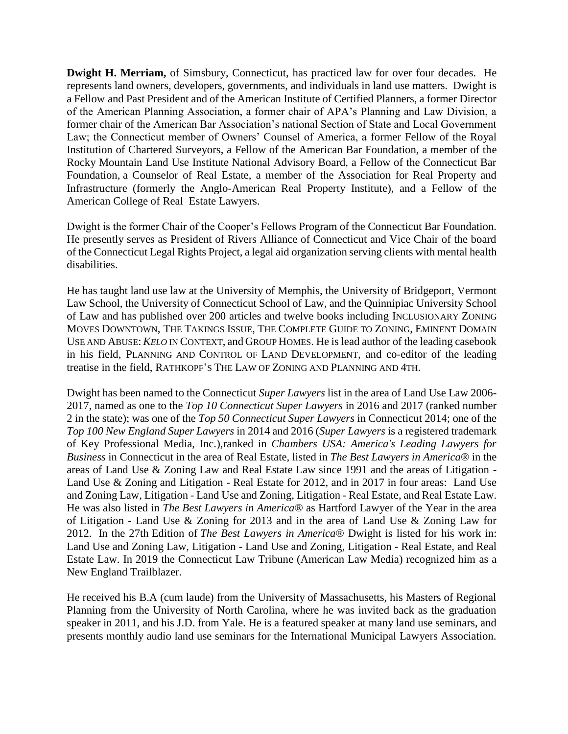**Dwight H. Merriam,** of Simsbury, Connecticut, has practiced law for over four decades. He represents land owners, developers, governments, and individuals in land use matters. Dwight is a Fellow and Past President and of the American Institute of Certified Planners, a former Director of the American Planning Association, a former chair of APA's Planning and Law Division, a former chair of the American Bar Association's national Section of State and Local Government Law; the Connecticut member of Owners' Counsel of America, a former Fellow of the Royal Institution of Chartered Surveyors, a Fellow of the American Bar Foundation, a member of the Rocky Mountain Land Use Institute National Advisory Board, a Fellow of the Connecticut Bar Foundation, a Counselor of Real Estate, a member of the Association for Real Property and Infrastructure (formerly the Anglo-American Real Property Institute), and a Fellow of the American College of Real Estate Lawyers.

Dwight is the former Chair of the Cooper's Fellows Program of the Connecticut Bar Foundation. He presently serves as President of Rivers Alliance of Connecticut and Vice Chair of the board of the Connecticut Legal Rights Project, a legal aid organization serving clients with mental health disabilities.

He has taught land use law at the University of Memphis, the University of Bridgeport, Vermont Law School, the University of Connecticut School of Law, and the Quinnipiac University School of Law and has published over 200 articles and twelve books including INCLUSIONARY ZONING MOVES DOWNTOWN, THE TAKINGS ISSUE, THE COMPLETE GUIDE TO ZONING, EMINENT DOMAIN USE AND ABUSE:*KELO* IN CONTEXT, and GROUP HOMES. He is lead author of the leading casebook in his field, PLANNING AND CONTROL OF LAND DEVELOPMENT, and co-editor of the leading treatise in the field, RATHKOPF'S THE LAW OF ZONING AND PLANNING AND 4TH.

Dwight has been named to the Connecticut *Super Lawyers* list in the area of Land Use Law 2006- 2017, named as one to the *Top 10 Connecticut Super Lawyers* in 2016 and 2017 (ranked number 2 in the state); was one of the *Top 50 Connecticut Super Lawyers* in Connecticut 2014; one of the *Top 100 New England Super Lawyers* in 2014 and 2016 (*Super Lawyers* is a registered trademark of Key Professional Media, Inc.),ranked in *Chambers USA: America's Leading Lawyers for Business* in Connecticut in the area of Real Estate, listed in *The Best Lawyers in America*® in the areas of Land Use & Zoning Law and Real Estate Law since 1991 and the areas of Litigation - Land Use & Zoning and Litigation - Real Estate for 2012, and in 2017 in four areas: Land Use and Zoning Law, Litigation - Land Use and Zoning, Litigation - Real Estate, and Real Estate Law. He was also listed in *The Best Lawyers in America*® as Hartford Lawyer of the Year in the area of Litigation - Land Use & Zoning for 2013 and in the area of Land Use & Zoning Law for 2012. In the 27th Edition of *The Best Lawyers in America*® Dwight is listed for his work in: Land Use and Zoning Law, Litigation - Land Use and Zoning, Litigation - Real Estate, and Real Estate Law. In 2019 the Connecticut Law Tribune (American Law Media) recognized him as a New England Trailblazer.

He received his B.A (cum laude) from the University of Massachusetts, his Masters of Regional Planning from the University of North Carolina, where he was invited back as the graduation speaker in 2011, and his J.D. from Yale. He is a featured speaker at many land use seminars, and presents monthly audio land use seminars for the International Municipal Lawyers Association.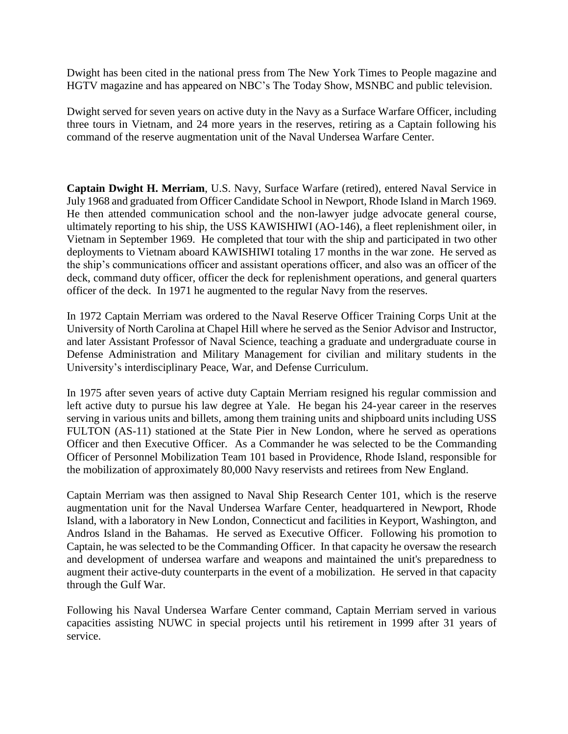Dwight has been cited in the national press from The New York Times to People magazine and HGTV magazine and has appeared on NBC's The Today Show, MSNBC and public television.

Dwight served for seven years on active duty in the Navy as a Surface Warfare Officer, including three tours in Vietnam, and 24 more years in the reserves, retiring as a Captain following his command of the reserve augmentation unit of the Naval Undersea Warfare Center.

**Captain Dwight H. Merriam**, U.S. Navy, Surface Warfare (retired), entered Naval Service in July 1968 and graduated from Officer Candidate School in Newport, Rhode Island in March 1969. He then attended communication school and the non-lawyer judge advocate general course, ultimately reporting to his ship, the USS KAWISHIWI (AO-146), a fleet replenishment oiler, in Vietnam in September 1969. He completed that tour with the ship and participated in two other deployments to Vietnam aboard KAWISHIWI totaling 17 months in the war zone. He served as the ship's communications officer and assistant operations officer, and also was an officer of the deck, command duty officer, officer the deck for replenishment operations, and general quarters officer of the deck. In 1971 he augmented to the regular Navy from the reserves.

In 1972 Captain Merriam was ordered to the Naval Reserve Officer Training Corps Unit at the University of North Carolina at Chapel Hill where he served as the Senior Advisor and Instructor, and later Assistant Professor of Naval Science, teaching a graduate and undergraduate course in Defense Administration and Military Management for civilian and military students in the University's interdisciplinary Peace, War, and Defense Curriculum.

In 1975 after seven years of active duty Captain Merriam resigned his regular commission and left active duty to pursue his law degree at Yale. He began his 24-year career in the reserves serving in various units and billets, among them training units and shipboard units including USS FULTON (AS-11) stationed at the State Pier in New London, where he served as operations Officer and then Executive Officer. As a Commander he was selected to be the Commanding Officer of Personnel Mobilization Team 101 based in Providence, Rhode Island, responsible for the mobilization of approximately 80,000 Navy reservists and retirees from New England.

Captain Merriam was then assigned to Naval Ship Research Center 101, which is the reserve augmentation unit for the Naval Undersea Warfare Center, headquartered in Newport, Rhode Island, with a laboratory in New London, Connecticut and facilities in Keyport, Washington, and Andros Island in the Bahamas. He served as Executive Officer. Following his promotion to Captain, he was selected to be the Commanding Officer. In that capacity he oversaw the research and development of undersea warfare and weapons and maintained the unit's preparedness to augment their active-duty counterparts in the event of a mobilization. He served in that capacity through the Gulf War.

Following his Naval Undersea Warfare Center command, Captain Merriam served in various capacities assisting NUWC in special projects until his retirement in 1999 after 31 years of service.